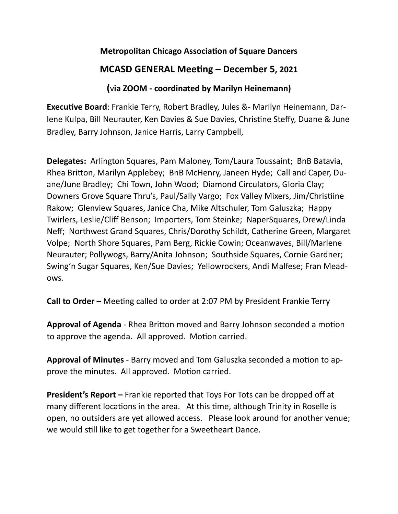## **Metropolitan Chicago Association of Square Dancers**

## **MCASD GENERAL Meeting – December 5, 2021**

## **(**v**ia ZOOM - coordinated by Marilyn Heinemann)**

**Executive Board**: Frankie Terry, Robert Bradley, Jules &- Marilyn Heinemann, Darlene Kulpa, Bill Neurauter, Ken Davies & Sue Davies, Christine Steffy, Duane & June Bradley, Barry Johnson, Janice Harris, Larry Campbell,

**Delegates:** Arlington Squares, Pam Maloney, Tom/Laura Toussaint; BnB Batavia, Rhea Britton, Marilyn Applebey; BnB McHenry, Janeen Hyde; Call and Caper, Duane/June Bradley; Chi Town, John Wood; Diamond Circulators, Gloria Clay; Downers Grove Square Thru's, Paul/Sally Vargo; Fox Valley Mixers, Jim/Christiine Rakow; Glenview Squares, Janice Cha, Mike Altschuler, Tom Galuszka; Happy Twirlers, Leslie/Cliff Benson; Importers, Tom Steinke; NaperSquares, Drew/Linda Neff; Northwest Grand Squares, Chris/Dorothy Schildt, Catherine Green, Margaret Volpe; North Shore Squares, Pam Berg, Rickie Cowin; Oceanwaves, Bill/Marlene Neurauter; Pollywogs, Barry/Anita Johnson; Southside Squares, Cornie Gardner; Swing'n Sugar Squares, Ken/Sue Davies; Yellowrockers, Andi Malfese; Fran Meadows.

**Call to Order –** Meeting called to order at 2:07 PM by President Frankie Terry

**Approval of Agenda** - Rhea Britton moved and Barry Johnson seconded a motion to approve the agenda. All approved. Motion carried.

**Approval of Minutes** - Barry moved and Tom Galuszka seconded a motion to approve the minutes. All approved. Motion carried.

**President's Report –** Frankie reported that Toys For Tots can be dropped off at many different locations in the area. At this time, although Trinity in Roselle is open, no outsiders are yet allowed access. Please look around for another venue; we would still like to get together for a Sweetheart Dance.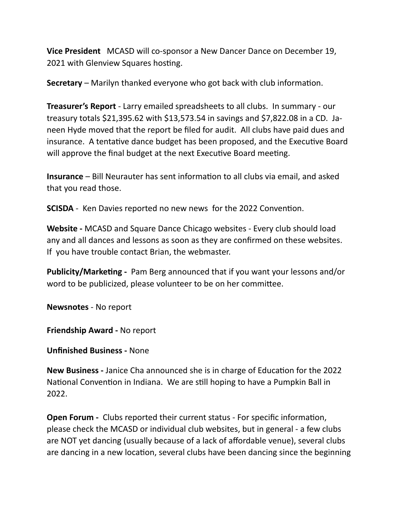**Vice President** MCASD will co-sponsor a New Dancer Dance on December 19, 2021 with Glenview Squares hosting.

**Secretary** – Marilyn thanked everyone who got back with club information.

**Treasurer's Report** - Larry emailed spreadsheets to all clubs. In summary - our treasury totals \$21,395.62 with \$13,573.54 in savings and \$7,822.08 in a CD. Janeen Hyde moved that the report be filed for audit. All clubs have paid dues and insurance. A tentative dance budget has been proposed, and the Executive Board will approve the final budget at the next Executive Board meeting.

**Insurance** – Bill Neurauter has sent information to all clubs via email, and asked that you read those.

**SCISDA** - Ken Davies reported no new news for the 2022 Convention.

**Website -** MCASD and Square Dance Chicago websites - Every club should load any and all dances and lessons as soon as they are confirmed on these websites. If you have trouble contact Brian, the webmaster.

**Publicity/Marketing -** Pam Berg announced that if you want your lessons and/or word to be publicized, please volunteer to be on her committee.

**Newsnotes** - No report

**Friendship Award -** No report

**Unfinished Business -** None

**New Business -** Janice Cha announced she is in charge of Education for the 2022 National Convention in Indiana. We are still hoping to have a Pumpkin Ball in 2022.

**Open Forum -** Clubs reported their current status - For specific information, please check the MCASD or individual club websites, but in general - a few clubs are NOT yet dancing (usually because of a lack of affordable venue), several clubs are dancing in a new location, several clubs have been dancing since the beginning